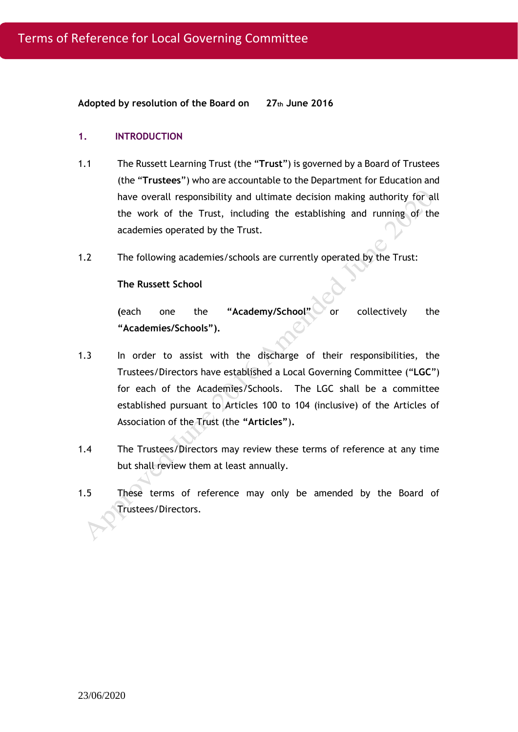**Adopted by resolution of the Board on 27th June 2016**

#### **1. INTRODUCTION**

- 1.1 The Russett Learning Trust (the "**Trust**") is governed by a Board of Trustees (the "**Trustees**") who are accountable to the Department for Education and have overall responsibility and ultimate decision making authority for all the work of the Trust, including the establishing and running of the academies operated by the Trust.
- 1.2 The following academies/schools are currently operated by the Trust:

#### **The Russett School**

**(**each one the **"Academy/School"** or collectively the **"Academies/Schools").**

- 1.3 In order to assist with the discharge of their responsibilities, the Trustees/Directors have established a Local Governing Committee ("**LGC**") for each of the Academies/Schools.The LGC shall be a committee established pursuant to Articles 100 to 104 (inclusive) of the Articles of Association of the Trust (the **"Articles"**)**.**
- 1.4 The Trustees/Directors may review these terms of reference at any time but shall review them at least annually.
- 1.5 These terms of reference may only be amended by the Board of Trustees/Directors.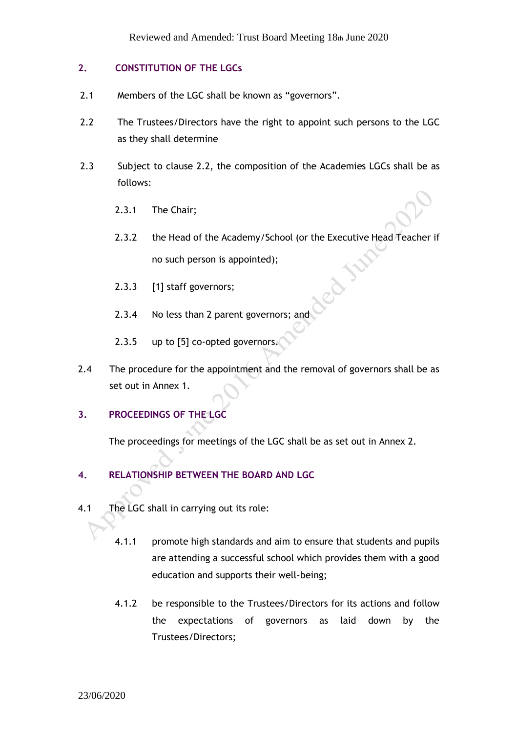## **2. CONSTITUTION OF THE LGCs**

- 2.1 Members of the LGC shall be known as "governors".
- 2.2 The Trustees/Directors have the right to appoint such persons to the LGC as they shall determine
- 2.3 Subject to clause 2.2, the composition of the Academies LGCs shall be as follows:
	- 2.3.1 The Chair;
	- 2.3.2 the Head of the Academy/School (or the Executive Head Teacher if no such person is appointed);
	- 2.3.3 [1] staff governors;
	- 2.3.4 No less than 2 parent governors; and
	- 2.3.5 up to [5] co-opted governors.
- 2.4 The procedure for the appointment and the removal of governors shall be as set out in Annex 1.

# **3. PROCEEDINGS OF THE LGC**

The proceedings for meetings of the LGC shall be as set out in Annex 2.

# **4. RELATIONSHIP BETWEEN THE BOARD AND LGC**

- 4.1 The LGC shall in carrying out its role:
	- 4.1.1 promote high standards and aim to ensure that students and pupils are attending a successful school which provides them with a good education and supports their well-being;
	- 4.1.2 be responsible to the Trustees/Directors for its actions and follow the expectations of governors as laid down by the Trustees/Directors;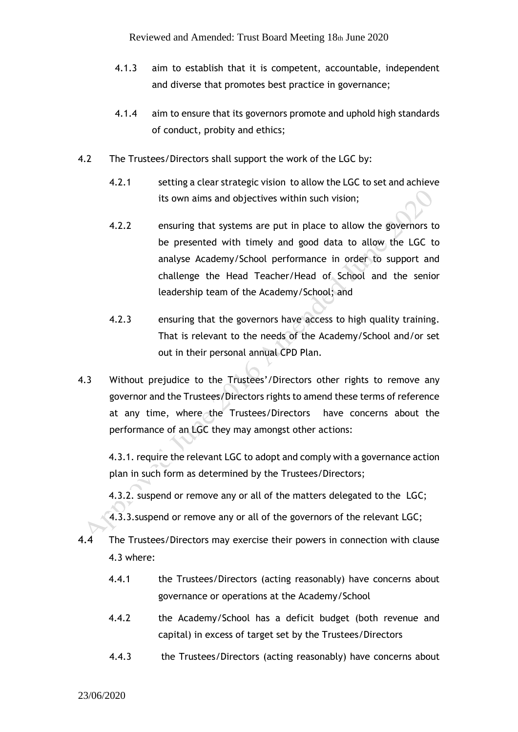- 4.1.3 aim to establish that it is competent, accountable, independent and diverse that promotes best practice in governance;
- 4.1.4 aim to ensure that its governors promote and uphold high standards of conduct, probity and ethics;
- 4.2 The Trustees/Directors shall support the work of the LGC by:
	- 4.2.1 setting a clear strategic vision to allow the LGC to set and achieve its own aims and objectives within such vision;
	- 4.2.2 ensuring that systems are put in place to allow the governors to be presented with timely and good data to allow the LGC to analyse Academy/School performance in order to support and challenge the Head Teacher/Head of School and the senior leadership team of the Academy/School; and
	- 4.2.3 ensuring that the governors have access to high quality training. That is relevant to the needs of the Academy/School and/or set out in their personal annual CPD Plan.
- 4.3 Without prejudice to the Trustees'/Directors other rights to remove any governor and the Trustees/Directors rights to amend these terms of reference at any time, where the Trustees/Directors have concerns about the performance of an LGC they may amongst other actions:

4.3.1. require the relevant LGC to adopt and comply with a governance action plan in such form as determined by the Trustees/Directors;

4.3.2. suspend or remove any or all of the matters delegated to the LGC;

4.3.3.suspend or remove any or all of the governors of the relevant LGC;

- 4.4 The Trustees/Directors may exercise their powers in connection with clause 4.3 where:
	- 4.4.1 the Trustees/Directors (acting reasonably) have concerns about governance or operations at the Academy/School
	- 4.4.2 the Academy/School has a deficit budget (both revenue and capital) in excess of target set by the Trustees/Directors
	- 4.4.3 the Trustees/Directors (acting reasonably) have concerns about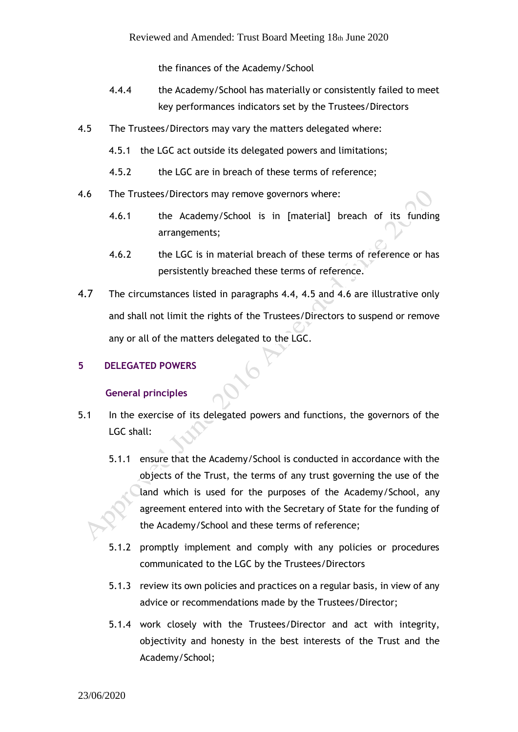the finances of the Academy/School

- 4.4.4 the Academy/School has materially or consistently failed to meet key performances indicators set by the Trustees/Directors
- 4.5 The Trustees/Directors may vary the matters delegated where:
	- 4.5.1 the LGC act outside its delegated powers and limitations;
	- 4.5.2 the LGC are in breach of these terms of reference;
- 4.6 The Trustees/Directors may remove governors where:
	- 4.6.1 the Academy/School is in [material] breach of its funding arrangements;
	- 4.6.2 the LGC is in material breach of these terms of reference or has persistently breached these terms of reference.
- 4.7 The circumstances listed in paragraphs 4.4, 4.5 and 4.6 are illustrative only and shall not limit the rights of the Trustees/Directors to suspend or remove any or all of the matters delegated to the LGC.

## **5 DELEGATED POWERS**

## **General principles**

- 5.1 In the exercise of its delegated powers and functions, the governors of the LGC shall:
	- 5.1.1 ensure that the Academy/School is conducted in accordance with the objects of the Trust, the terms of any trust governing the use of the land which is used for the purposes of the Academy/School, any agreement entered into with the Secretary of State for the funding of the Academy/School and these terms of reference;
	- 5.1.2 promptly implement and comply with any policies or procedures communicated to the LGC by the Trustees/Directors
	- 5.1.3 review its own policies and practices on a regular basis, in view of any advice or recommendations made by the Trustees/Director;
	- 5.1.4 work closely with the Trustees/Director and act with integrity, objectivity and honesty in the best interests of the Trust and the Academy/School;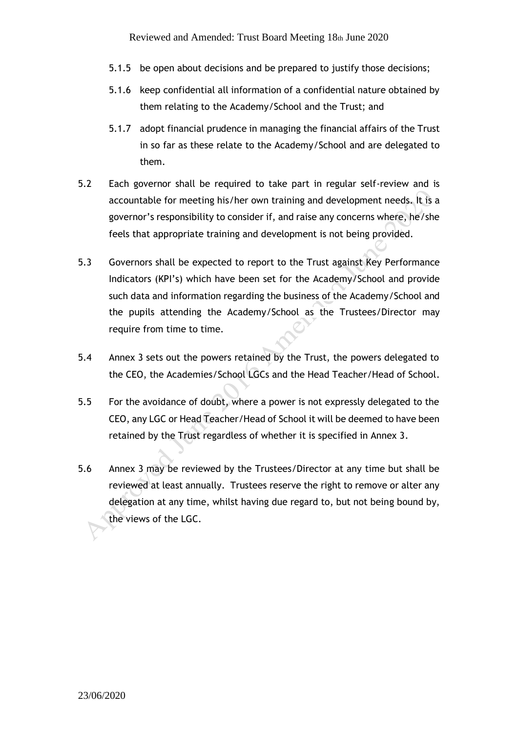- 5.1.5 be open about decisions and be prepared to justify those decisions;
- 5.1.6 keep confidential all information of a confidential nature obtained by them relating to the Academy/School and the Trust; and
- 5.1.7 adopt financial prudence in managing the financial affairs of the Trust in so far as these relate to the Academy/School and are delegated to them.
- 5.2 Each governor shall be required to take part in regular self-review and is accountable for meeting his/her own training and development needs. It is a governor's responsibility to consider if, and raise any concerns where, he/she feels that appropriate training and development is not being provided.
- 5.3 Governors shall be expected to report to the Trust against Key Performance Indicators (KPI's) which have been set for the Academy/School and provide such data and information regarding the business of the Academy/School and the pupils attending the Academy/School as the Trustees/Director may require from time to time.
- 5.4 Annex 3 sets out the powers retained by the Trust, the powers delegated to the CEO, the Academies/School LGCs and the Head Teacher/Head of School.
- 5.5 For the avoidance of doubt, where a power is not expressly delegated to the CEO, any LGC or Head Teacher/Head of School it will be deemed to have been retained by the Trust regardless of whether it is specified in Annex 3.
- 5.6 Annex 3 may be reviewed by the Trustees/Director at any time but shall be reviewed at least annually. Trustees reserve the right to remove or alter any delegation at any time, whilst having due regard to, but not being bound by, the views of the LGC.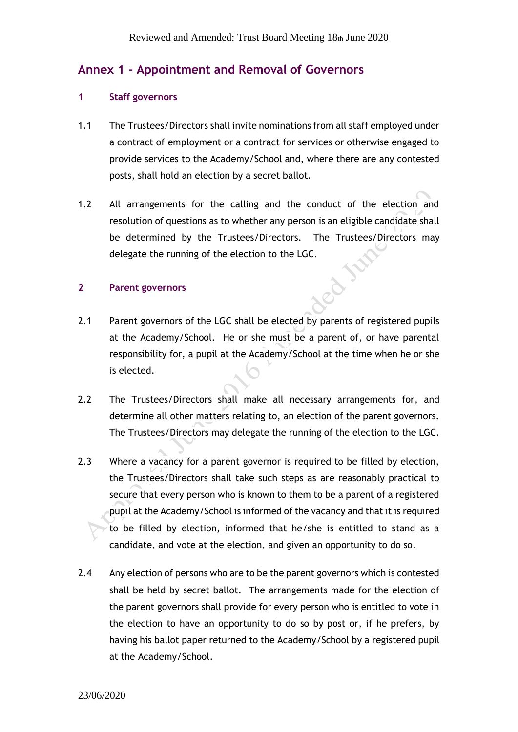# **Annex 1 – Appointment and Removal of Governors**

## **1 Staff governors**

- 1.1 The Trustees/Directors shall invite nominations from all staff employed under a contract of employment or a contract for services or otherwise engaged to provide services to the Academy/School and, where there are any contested posts, shall hold an election by a secret ballot.
- 1.2 All arrangements for the calling and the conduct of the election and resolution of questions as to whether any person is an eligible candidate shall be determined by the Trustees/Directors. The Trustees/Directors may delegate the running of the election to the LGC. colla

## **2 Parent governors**

- 2.1 Parent governors of the LGC shall be elected by parents of registered pupils at the Academy/School. He or she must be a parent of, or have parental responsibility for, a pupil at the Academy/School at the time when he or she is elected.
- 2.2 The Trustees/Directors shall make all necessary arrangements for, and determine all other matters relating to, an election of the parent governors. The Trustees/Directors may delegate the running of the election to the LGC.
- 2.3 Where a vacancy for a parent governor is required to be filled by election, the Trustees/Directors shall take such steps as are reasonably practical to secure that every person who is known to them to be a parent of a registered pupil at the Academy/School is informed of the vacancy and that it is required to be filled by election, informed that he/she is entitled to stand as a candidate, and vote at the election, and given an opportunity to do so.
- 2.4 Any election of persons who are to be the parent governors which is contested shall be held by secret ballot. The arrangements made for the election of the parent governors shall provide for every person who is entitled to vote in the election to have an opportunity to do so by post or, if he prefers, by having his ballot paper returned to the Academy/School by a registered pupil at the Academy/School.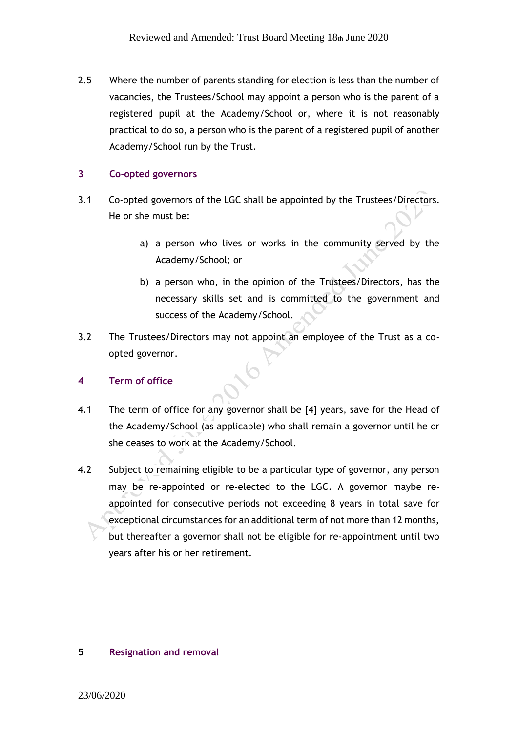2.5 Where the number of parents standing for election is less than the number of vacancies, the Trustees/School may appoint a person who is the parent of a registered pupil at the Academy/School or, where it is not reasonably practical to do so, a person who is the parent of a registered pupil of another Academy/School run by the Trust.

## **3 Co-opted governors**

- 3.1 Co-opted governors of the LGC shall be appointed by the Trustees/Directors. He or she must be:
	- a) a person who lives or works in the community served by the Academy/School; or
	- b) a person who, in the opinion of the Trustees/Directors, has the necessary skills set and is committed to the government and success of the Academy/School.
- 3.2 The Trustees/Directors may not appoint an employee of the Trust as a coopted governor.

# **4 Term of office**

- 4.1 The term of office for any governor shall be [4] years, save for the Head of the Academy/School (as applicable) who shall remain a governor until he or she ceases to work at the Academy/School.
- 4.2 Subject to remaining eligible to be a particular type of governor, any person may be re-appointed or re-elected to the LGC. A governor maybe reappointed for consecutive periods not exceeding 8 years in total save for exceptional circumstances for an additional term of not more than 12 months, but thereafter a governor shall not be eligible for re-appointment until two years after his or her retirement.

## **5 Resignation and removal**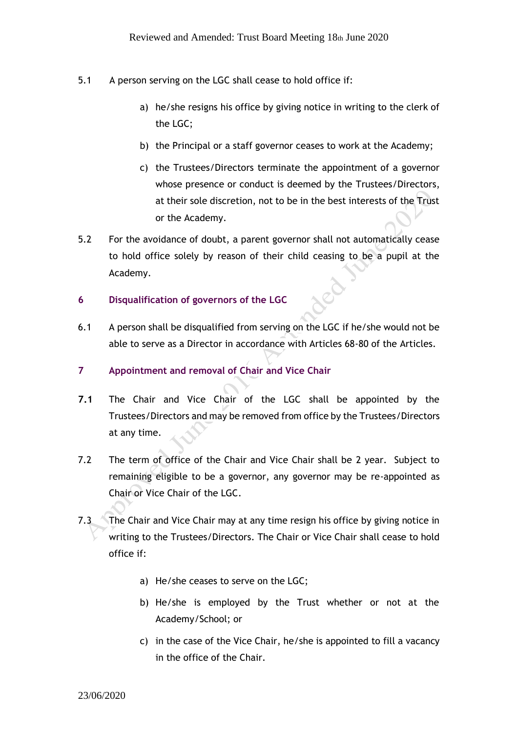- 5.1 A person serving on the LGC shall cease to hold office if:
	- a) he/she resigns his office by giving notice in writing to the clerk of the LGC;
	- b) the Principal or a staff governor ceases to work at the Academy;
	- c) the Trustees/Directors terminate the appointment of a governor whose presence or conduct is deemed by the Trustees/Directors, at their sole discretion, not to be in the best interests of the Trust or the Academy.
- 5.2 For the avoidance of doubt, a parent governor shall not automatically cease to hold office solely by reason of their child ceasing to be a pupil at the Academy.
- **6 Disqualification of governors of the LGC**
- 6.1 A person shall be disqualified from serving on the LGC if he/she would not be able to serve as a Director in accordance with Articles 68-80 of the Articles.
- **7 Appointment and removal of Chair and Vice Chair**
- **7.1** The Chair and Vice Chair of the LGC shall be appointed by the Trustees/Directors and may be removed from office by the Trustees/Directors at any time.
- 7.2 The term of office of the Chair and Vice Chair shall be 2 year. Subject to remaining eligible to be a governor, any governor may be re-appointed as Chair or Vice Chair of the LGC.
- 7.3 The Chair and Vice Chair may at any time resign his office by giving notice in writing to the Trustees/Directors. The Chair or Vice Chair shall cease to hold office if:
	- a) He/she ceases to serve on the LGC;
	- b) He/she is employed by the Trust whether or not at the Academy/School; or
	- c) in the case of the Vice Chair, he/she is appointed to fill a vacancy in the office of the Chair.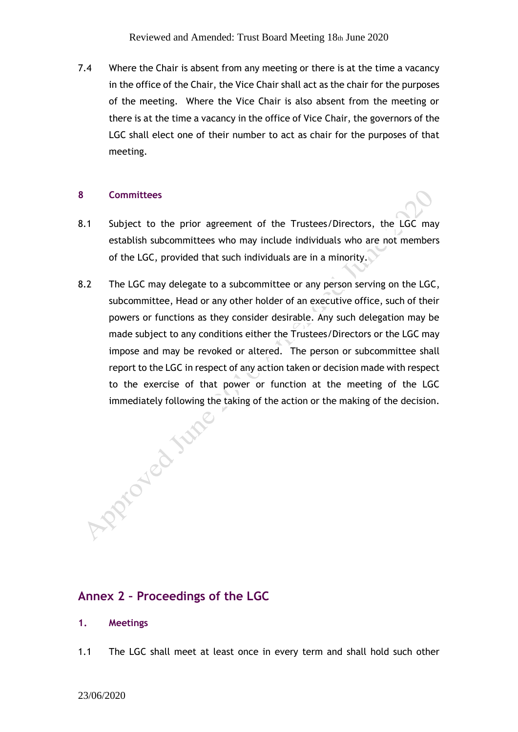7.4 Where the Chair is absent from any meeting or there is at the time a vacancy in the office of the Chair, the Vice Chair shall act as the chair for the purposes of the meeting. Where the Vice Chair is also absent from the meeting or there is at the time a vacancy in the office of Vice Chair, the governors of the LGC shall elect one of their number to act as chair for the purposes of that meeting.

## **8 Committees**

- 8.1 Subject to the prior agreement of the Trustees/Directors, the LGC may establish subcommittees who may include individuals who are not members of the LGC, provided that such individuals are in a minority.
- 8.2 The LGC may delegate to a subcommittee or any person serving on the LGC, subcommittee, Head or any other holder of an executive office, such of their powers or functions as they consider desirable. Any such delegation may be made subject to any conditions either the Trustees/Directors or the LGC may impose and may be revoked or altered. The person or subcommittee shall report to the LGC in respect of any action taken or decision made with respect to the exercise of that power or function at the meeting of the LGC

immediately following the taking of the action or the making of the decision.

# **Annex 2 – Proceedings of the LGC**

- **1. Meetings**
- 1.1 The LGC shall meet at least once in every term and shall hold such other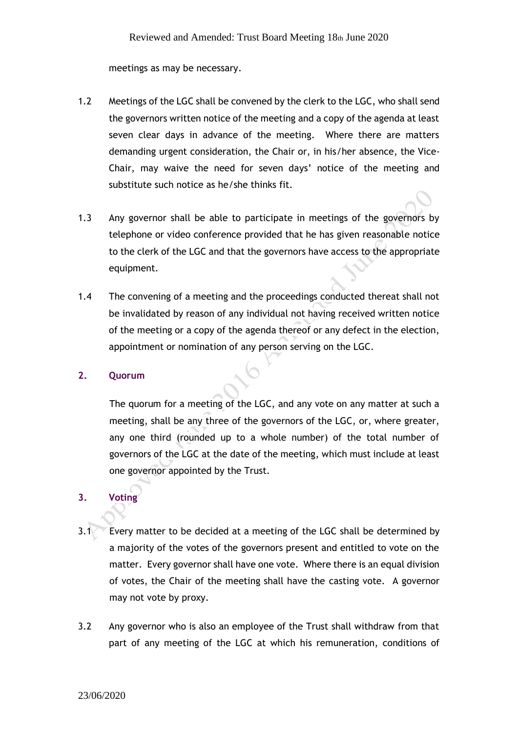meetings as may be necessary.

- 1.2 Meetings of the LGC shall be convened by the clerk to the LGC, who shall send the governors written notice of the meeting and a copy of the agenda at least seven clear days in advance of the meeting. Where there are matters demanding urgent consideration, the Chair or, in his/her absence, the Vice-Chair, may waive the need for seven days' notice of the meeting and substitute such notice as he/she thinks fit.
- 1.3 Any governor shall be able to participate in meetings of the governors by telephone or video conference provided that he has given reasonable notice to the clerk of the LGC and that the governors have access to the appropriate equipment.
- 1.4 The convening of a meeting and the proceedings conducted thereat shall not be invalidated by reason of any individual not having received written notice of the meeting or a copy of the agenda thereof or any defect in the election, appointment or nomination of any person serving on the LGC.

## **2. Quorum**

The quorum for a meeting of the LGC, and any vote on any matter at such a meeting, shall be any three of the governors of the LGC, or, where greater, any one third (rounded up to a whole number) of the total number of governors of the LGC at the date of the meeting, which must include at least one governor appointed by the Trust.

# **3. Voting**

- 3.1 Every matter to be decided at a meeting of the LGC shall be determined by a majority of the votes of the governors present and entitled to vote on the matter. Every governor shall have one vote. Where there is an equal division of votes, the Chair of the meeting shall have the casting vote. A governor may not vote by proxy.
- 3.2 Any governor who is also an employee of the Trust shall withdraw from that part of any meeting of the LGC at which his remuneration, conditions of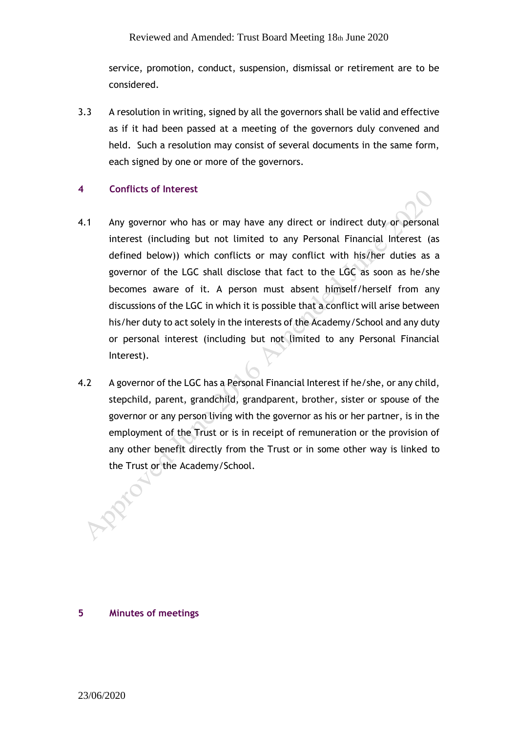service, promotion, conduct, suspension, dismissal or retirement are to be considered.

3.3 A resolution in writing, signed by all the governors shall be valid and effective as if it had been passed at a meeting of the governors duly convened and held. Such a resolution may consist of several documents in the same form, each signed by one or more of the governors.

## **4 Conflicts of Interest**

- 4.1 Any governor who has or may have any direct or indirect duty or personal interest (including but not limited to any Personal Financial Interest (as defined below)) which conflicts or may conflict with his/her duties as a governor of the LGC shall disclose that fact to the LGC as soon as he/she becomes aware of it. A person must absent himself/herself from any discussions of the LGC in which it is possible that a conflict will arise between his/her duty to act solely in the interests of the Academy/School and any duty or personal interest (including but not limited to any Personal Financial Interest).
- 4.2 A governor of the LGC has a Personal Financial Interest if he/she, or any child, stepchild, parent, grandchild, grandparent, brother, sister or spouse of the governor or any person living with the governor as his or her partner, is in the employment of the Trust or is in receipt of remuneration or the provision of any other benefit directly from the Trust or in some other way is linked to the Trust or the Academy/School.

## **5 Minutes of meetings**